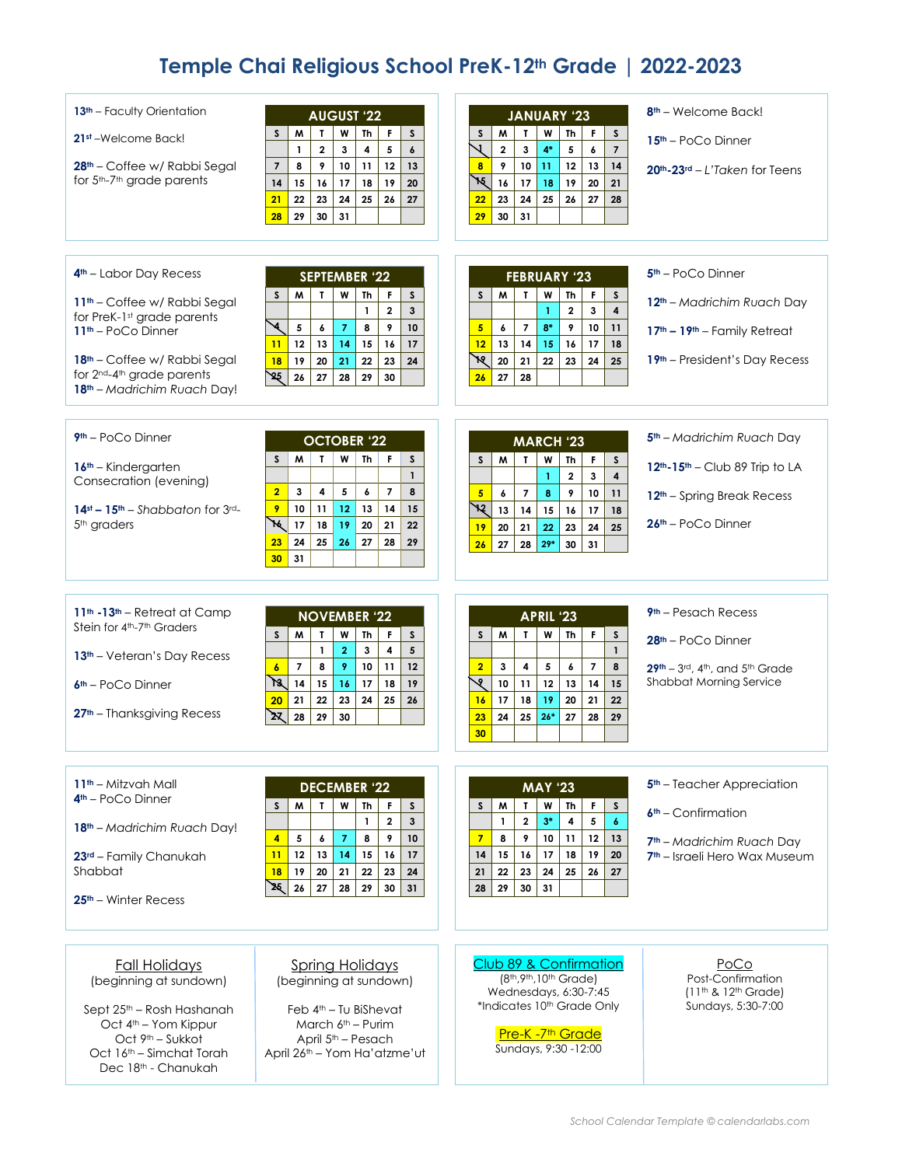# **Temple Chai Religious School PreK-12th Grade | 2022-2023**

| 13 <sup>th</sup> – Faculty Orientation<br>21st-Welcome Back!<br>28 <sup>th</sup> – Coffee w/ Rabbi Segal<br>for 5th-7th grade parents<br>$4th$ – Labor Day Recess<br>11 <sup>th</sup> – Coffee w/ Rabbi Segal<br>for PreK-1st grade parents<br>11 <sup>th</sup> - PoCo Dinner | <b>AUGUST '22</b><br>W<br>Th<br>F<br>S<br>W<br>T<br>S<br>$\overline{\mathbf{2}}$<br>5<br>$\mathbf{1}$<br>3<br>4<br>$\boldsymbol{6}$<br>9<br>8<br>10<br>11<br>12<br>13<br>$\overline{\phantom{a}}$<br>16<br>14<br>15<br>17<br>18<br>19<br>20<br>23<br>24<br>25<br>21<br>22<br>26<br>27<br>30<br>31<br>28<br>29<br><b>SEPTEMBER '22</b><br>$\mathbf{I}$<br>M<br>W<br>Th<br>F<br>S<br>S<br>$\mathbf{1}$<br>$\overline{2}$<br>$\mathbf{3}$<br>∢<br>5<br>6<br>$\overline{7}$<br>8<br>9<br>10<br>12<br>13<br>14<br>15<br>16<br>17<br>11 | <b>JANUARY '23</b><br>W<br>W<br>T<br>Th<br>F.<br>S<br>S<br>$\overline{1}$<br>$4*$<br>$\mathbf{3}$<br>$\overline{7}$<br>$\mathbf{2}$<br>5<br>6<br>12<br>10<br>13<br>14<br>8<br>9<br>11<br>`М<br>16<br>19<br>17<br>18<br>20<br>21<br>25<br>26<br>22<br>23<br>24<br>27<br>28<br>29<br>30<br>31<br><b>FEBRUARY '23</b><br>$\mathbf{I}$<br>M<br>W<br>Th<br>F.<br>S<br>S<br>$\overline{2}$<br>$\overline{\mathbf{4}}$<br>3<br>$\mathbf{1}$<br>$8*$<br>9<br>10<br>$\overline{7}$<br>5<br>11<br>6<br>12<br>14<br>15<br>16<br>17<br>13<br>18 | 8 <sup>th</sup> – Welcome Back!<br>$15th - PoCo$ Dinner<br>$20th - 23rd - L'Taken for Teens$<br>$5th$ – PoCo Dinner<br>12 <sup>th</sup> - Madrichim Ruach Day<br>17 <sup>th</sup> - 19 <sup>th</sup> - Family Retreat |
|-------------------------------------------------------------------------------------------------------------------------------------------------------------------------------------------------------------------------------------------------------------------------------|-----------------------------------------------------------------------------------------------------------------------------------------------------------------------------------------------------------------------------------------------------------------------------------------------------------------------------------------------------------------------------------------------------------------------------------------------------------------------------------------------------------------------------------|-------------------------------------------------------------------------------------------------------------------------------------------------------------------------------------------------------------------------------------------------------------------------------------------------------------------------------------------------------------------------------------------------------------------------------------------------------------------------------------------------------------------------------------|-----------------------------------------------------------------------------------------------------------------------------------------------------------------------------------------------------------------------|
| 18 <sup>th</sup> – Coffee w/ Rabbi Segal<br>for 2 <sup>nd</sup> -4 <sup>th</sup> grade parents<br>18 <sup>th</sup> - Madrichim Ruach Day!                                                                                                                                     | 19<br>20<br>22<br>24<br>18<br>21<br>23<br>`&<br>26<br>27<br>28<br>29<br>30                                                                                                                                                                                                                                                                                                                                                                                                                                                        | R<br>20<br>$22\phantom{.0}$<br>23<br>24<br>21<br>25<br>26<br>27<br>28                                                                                                                                                                                                                                                                                                                                                                                                                                                               | 19 <sup>th</sup> – President's Day Recess                                                                                                                                                                             |
| $9th$ – PoCo Dinner<br>$16th$ – Kindergarten<br>Consecration (evening)<br>$14$ <sup>st</sup> - $15$ <sup>th</sup> - Shabbaton for $3$ <sup>rd</sup> -<br>5 <sup>th</sup> araders                                                                                              | <b>OCTOBER '22</b><br>W<br>Th<br>F.<br>M<br>$\mathbf{I}$<br>S<br>S<br>$\mathbf{1}$<br>$\overline{2}$<br>3<br>4<br>5<br>6<br>$\overline{7}$<br>8<br>9<br>10<br>11<br>12<br>13<br>14<br>15<br>`M<br>17<br>18<br>19<br>20<br>21<br>22<br>25<br>23<br>24<br>26<br>27<br>28<br>29<br>30<br>31                                                                                                                                                                                                                                          | <b>MARCH '23</b><br>W<br>M<br>$\mathbf{I}$<br>F<br>S<br>Th<br>S<br>$\overline{2}$<br>3<br>$\mathbf{1}$<br>4<br>9<br>5<br>$\overline{7}$<br>8<br>10<br>6<br>11<br>ነሂ<br>15<br>13<br>14<br>16<br>17<br>18<br>25<br>19<br>20<br>21<br>22<br>23<br>24<br>$29*$<br>26<br>27<br>28<br>30<br>31                                                                                                                                                                                                                                            | 5 <sup>th</sup> - Madrichim Ruach Day<br>$12th - 15th - Club$ 89 Trip to LA<br>$12th$ – Spring Break Recess<br>26th - PoCo Dinner                                                                                     |
| $11th$ -13 <sup>th</sup> – Retreat at Camp<br>Stein for 4th-7th Graders<br>13 <sup>th</sup> - Veteran's Day Recess<br>$6th$ – PoCo Dinner<br>27 <sup>th</sup> - Thanksgiving Recess                                                                                           | <b>NOVEMBER '22</b><br>W<br>Th<br>F<br>$\mathsf{s}$<br>M<br>$\mathbf{r}$<br>S<br>3<br>$\mathbf{1}$<br>$\overline{2}$<br>4<br>5<br>8<br>9<br>10<br>$\boldsymbol{6}$<br>7<br>11<br>12<br>73. I<br>14<br>17<br>15<br>16<br>18<br>19<br>22<br>23<br>24<br>21<br>25<br>26<br>20<br>স্ম<br>28<br>29<br>30                                                                                                                                                                                                                               | APRIL '23<br>$\boldsymbol{\mathsf{W}}$<br>F<br>M<br>$\mathbf{I}$<br>Th<br>S<br>S<br>$\mathbf{1}$<br>$\overline{\phantom{a}}$<br>$\overline{2}$<br>5<br>8<br>3<br>4<br>6<br>ও<br>10<br>11<br>12<br>13<br>15<br>14<br>18<br>19<br>20<br>21<br>22<br>16<br>17<br>$26*$<br>23<br>24<br>25<br>27<br>28<br>29<br>30                                                                                                                                                                                                                       | $9th$ – Pesach Recess<br>28 <sup>th</sup> – PoCo Dinner<br>29th - 3rd, 4th, and 5th Grade<br>Shabbat Morning Service                                                                                                  |
| 11 <sup>th</sup> – Mitzvah Mall<br>$4th$ – PoCo Dinner<br>18 <sup>th</sup> - Madrichim Ruach Day!<br>23rd - Family Chanukah<br>Shabbat<br>$25th$ – Winter Recess                                                                                                              | <b>DECEMBER '22</b><br>M<br><b>Th</b><br>s.<br>T.<br>W<br>F<br>S<br>$\mathbf{1}$<br>$\mathbf 2$<br>3<br>5<br>8<br>4<br>6<br>$\overline{7}$<br>9<br>10<br>12<br>13<br>14<br>15<br>16<br>17<br>11<br>19<br>20<br>21<br>22<br>18<br>23<br>24<br>25<br>26<br>$27$<br>28<br>29<br>30<br>31                                                                                                                                                                                                                                             | <b>MAY '23</b><br>M<br>$\boldsymbol{\mathsf{W}}$<br>S<br>$\mathbf{I}$<br>Th<br>F.<br>S<br>$\overline{\mathbf{2}}$<br>$3*$<br>5<br>$\overline{\mathbf{4}}$<br>1<br>$\boldsymbol{6}$<br>$\overline{7}$<br>8<br>9<br>10<br>11<br>12<br>13<br>16<br>18<br>19<br>15<br>17<br>20<br>14<br>24<br>25<br>21<br>22<br>23<br>26<br>27<br>31<br>29<br>30 <sup>1</sup><br>28                                                                                                                                                                     | 5 <sup>th</sup> – Teacher Appreciation<br>$6th$ – Confirmation<br>7 <sup>th</sup> – Madrichim Ruach Day<br>7 <sup>th</sup> – Israeli Hero Wax Museum                                                                  |
| <b>Fall Holidays</b><br>(beginning at sundown)<br>Sept 25 <sup>th</sup> – Rosh Hashanah<br>Oct 4 <sup>th</sup> - Yom Kippur<br>Oct 9th - Sukkot<br>Oct 16 <sup>th</sup> – Simchat Torah<br>Dec 18 <sup>th</sup> - Chanukah                                                    | <b>Spring Holidays</b><br>(beginning at sundown)<br>Feb $4th - Tu BiShevat$<br>March $6th$ – Purim<br>April 5 <sup>th</sup> – Pesach<br>April 26th - Yom Ha'atzme'ut                                                                                                                                                                                                                                                                                                                                                              | Club 89 & Confirmation<br>(8 <sup>th</sup> , 9 <sup>th</sup> , 10 <sup>th</sup> Grade)<br>Wednesdays, 6:30-7:45<br>*Indicates 10th Grade Only<br>Pre-K -7 <sup>th</sup> Grade<br>Sundays, 9:30 -12:00                                                                                                                                                                                                                                                                                                                               | PoCo<br>Post-Confirmation<br>$(11^{th}$ & $12^{th}$ Grade)<br>Sundays, 5:30-7:00                                                                                                                                      |